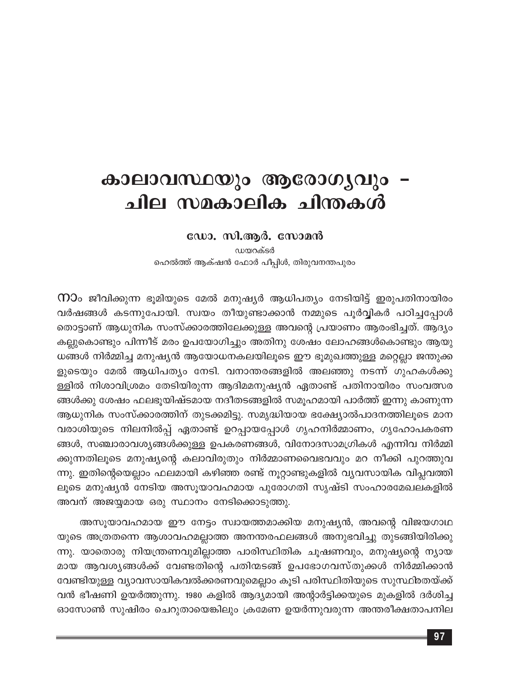# കാലാവസ്ഥയും ആരോഗൃവും – ചില സമകാലിക ചിന്തകൾ

## ഡോ. സി.ആർ. സോമൻ

ഡയറക്ടർ ഹെൽത്ത് ആക്ഷൻ ഫോർ പീപ്പിൾ, തിരുവനന്തപുരം

 $\Omega$ ാം ജീവിക്കുന്ന ഭൂമിയുടെ മേൽ മനുഷ്യർ ആധിപത്യം നേടിയിട്ട് ഇരുപതിനായിരം വർഷങ്ങൾ കടന്നുപോയി. സ്വയം തീയുണ്ടാക്കാൻ നമ്മുടെ പൂർവ്വികർ പഠിച്ചപ്പോൾ തൊട്ടാണ് ആധുനിക സംസ്ക്കാരത്തിലേക്കുള്ള അവന്റെ പ്രയാണം ആരംഭിച്ചത്. ആദ്യം കല്ലുകൊണ്ടും പിന്നീട് മരം ഉപയോഗിച്ചും അതിനു ശേഷം ലോഹങ്ങൾകൊണ്ടും ആയു ധങ്ങൾ നിർമ്മിച്ച മനുഷ്യൻ ആയോധനകലയിലൂടെ ഈ ഭൂമുഖത്തുള്ള മറ്റെല്ലാ ജന്തുക്ക ളുടെയും മേൽ ആധിപത്യം നേടി. വനാന്തരങ്ങളിൽ അലഞ്ഞു നടന്ന് ഗുഹകൾക്കു ള്ളിൽ നിശാവിശ്രമം തേടിയിരുന്ന ആദിമമനുഷ്യൻ ഏതാണ്ട് പതിനായിരം സംവത്സര ങ്ങൾക്കു ശേഷം ഫലഭൂയിഷ്ടമായ നദീതടങ്ങളിൽ സമൂഹമായി പാർത്ത് ഇന്നു കാണുന്ന ആധുനിക സംസ്ക്കാരത്തിന് തുടക്കമിട്ടു. സമൃദ്ധിയായ ഭക്ഷ്യോൽപാദനത്തിലൂടെ മാന വരാശിയുടെ നിലനിൽപ്പ് ഏതാണ്ട് ഉറപ്പായപ്പോൾ ഗൃഹനിർമ്മാണം, ഗൃഹോപകരണ ങ്ങൾ, സഞ്ചാരാവശ്യങ്ങൾക്കുള്ള ഉപകരണങ്ങൾ, വിനോദസാമഗ്രികൾ എന്നിവ നിർമ്മി ക്കുന്നതിലൂടെ മനുഷ്യന്റെ കലാവിരുതും നിർമ്മാണവൈഭവവും മറ നീക്കി പുറത്തുവ ന്നു. ഇതിന്റെയെല്ലാം ഫലമായി കഴിഞ്ഞ രണ്ട് നൂറ്റാണ്ടുകളിൽ വ്യവസായിക വിപ്ലവത്തി ലൂടെ മനുഷ്യൻ നേടിയ അസൂയാവഹമായ പുരോഗതി സൃഷ്ടി സംഹാരമേഖലകളിൽ അവന് അജയ്യമായ ഒരു സ്ഥാനം നേടിക്കൊടുത്തു.

അസൂയാവഹമായ ഈ നേട്ടം സ്വായത്തമാക്കിയ മനുഷ്യൻ, അവന്റെ വിജയഗാഥ യുടെ അത്രതന്നെ ആശാവഹമല്ലാത്ത അനന്തരഫലങ്ങൾ അനുഭവിച്ചു തുടങ്ങിയിരിക്കു ന്നു. യാതൊരു നിയന്ത്രണവുമില്ലാത്ത പാരിസ്ഥിതിക ചൂഷണവും, മനുഷ്യന്റെ ന്യായ മായ ആവശ്യങ്ങൾക്ക് വേണ്ടതിന്റെ പതിന്മടങ്ങ് ഉപഭോഗവസ്തുക്കൾ നിർമ്മിക്കാൻ വേണ്ടിയുള്ള വ്യാവസായികവൽക്കരണവുമെല്ലാം കൂടി പരിസ്ഥിതിയുടെ സുസ്ഥിരതയ്ക്ക് വൻ ഭീഷണി ഉയർത്തുന്നു. 1980 കളിൽ ആദ്യമായി അന്റാർട്ടിക്കയുടെ മുകളിൽ ദർശിച്ച ഓസോൺ സുഷിരം ചെറുതായെങ്കിലും ക്രമേണ ഉയർന്നുവരുന്ന അന്തരീക്ഷതാപനില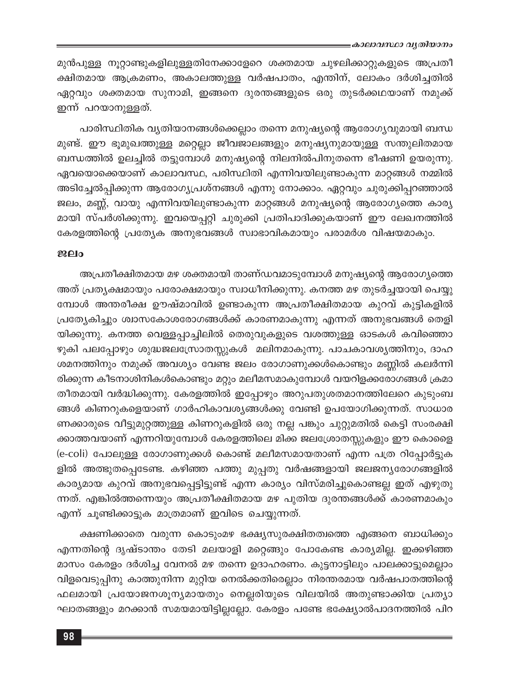മുൻപുള്ള നൂറ്റാണ്ടുകളിലുള്ളതിനേക്കാളേറെ ശക്തമായ ചുഴലിക്കാറ്റുകളുടെ അപ്രതീ ക്ഷിതമായ ആക്രമണം, അകാലത്തുള്ള വർഷപാതം, എന്തിന്, ലോകം ദർശിച്ചതിൽ ഏറ്റവും ശക്തമായ സുനാമി, ഇങ്ങനെ ദുരന്തങ്ങളുടെ ഒരു തുടർക്കഥയാണ് നമുക്ക് ഇന്ന് പറയാനുള്ളത്.

പാരിസ്ഥിതിക വ്യതിയാനങ്ങൾക്കെല്ലാം തന്നെ മനുഷ്യന്റെ ആരോഗ്യവുമായി ബന്ധ മുണ്ട്. ഈ ഭൂമുഖത്തുള്ള മറ്റെല്ലാ ജീവജാലങ്ങളും മനുഷ്യനുമായുള്ള സന്തുലിതമായ ബന്ധത്തിൽ ഉലച്ചിൽ തട്ടുമ്പോൾ മനുഷ്യന്റെ നിലനിൽപിനുതന്നെ ഭീഷണി ഉയരുന്നു. ഏവയൊക്കെയാണ് കാലാവസ്ഥ, പരിസ്ഥിതി എന്നിവയിലുണ്ടാകുന്ന മാറ്റങ്ങൾ നമ്മിൽ അടിച്ചേൽപ്പിക്കുന്ന ആരോഗ്യപ്രശ്നങ്ങൾ എന്നു നോക്കാം. ഏറ്റവും ചുരുക്കിപ്പറഞ്ഞാൽ ജലം, മണ്ണ്, വായു എന്നിവയിലുണ്ടാകുന്ന മാറ്റങ്ങൾ മനുഷ്യന്റെ ആരോഗ്യത്തെ കാര്യ മായി സ്പർശിക്കുന്നു. ഇവയെപ്പറ്റി ചുരുക്കി പ്രതിപാദിക്കുകയാണ് ഈ ലേഖനത്തിൽ കേരളത്തിന്റെ പ്രത്യേക അനുഭവങ്ങൾ സ്വാഭാവികമായും പരാമർശ വിഷയമാകും.

### ജലം

അപ്രതീക്ഷിതമായ മഴ ശക്തമായി താണ്ഡവമാടുമ്പോൾ മനുഷ്യന്റെ ആരോഗ്യത്തെ അത് പ്രത്യക്ഷമായും പരോക്ഷമായും സ്വാധീനിക്കുന്നു. കനത്ത മഴ തുടർച്ചയായി പെയ്യു മ്പോൾ അന്തരീക്ഷ ഊഷ്മാവിൽ ഉണ്ടാകുന്ന അപ്രതീക്ഷിതമായ കുറവ് കുട്ടികളിൽ പ്രത്യേകിച്ചും ശ്വാസകോശരോഗങ്ങൾക്ക് കാരണമാകുന്നു എന്നത് അനുഭവങ്ങൾ തെളി യിക്കുന്നു. കനത്ത വെള്ളപ്പാച്ചിലിൽ തെരുവുകളുടെ വശത്തുള്ള ഓടകൾ കവിഞ്ഞൊ ഴുകി പലപ്പോഴും ശുദ്ധജലസ്രോതസ്സുകൾ മലിനമാകുന്നു. പാചകാവശ്യത്തിനും, ദാഹ ശമനത്തിനും നമുക്ക് അവശ്യം വേണ്ട ജലം രോഗാണുക്കൾകൊണ്ടും മണ്ണിൽ കലർന്നി രിക്കുന്ന കീടനാശിനികൾകൊണ്ടും മറ്റും മലീമസമാകുമ്പോൾ വയറിളക്കരോഗങ്ങൾ ക്രമാ തീതമായി വർദ്ധിക്കുന്നു. കേരളത്തിൽ ഇപ്പോഴും അറുപതുശതമാനത്തിലേറെ കുടുംബ ങ്ങൾ കിണറുകളെയാണ് ഗാർഹികാവശ്യങ്ങൾക്കു വേണ്ടി ഉപയോഗിക്കുന്നത്. സാധാര ണക്കാരുടെ വീട്ടുമുറ്റത്തുള്ള കിണറുകളിൽ ഒരു നല്ല പങ്കും ചുറ്റുമതിൽ കെട്ടി സംരക്ഷി ക്കാത്തവയാണ് എന്നറിയുമ്പോൾ കേരളത്തിലെ മിക്ക ജലശ്രോതസ്സുകളും ഈ കൊളൈ (e-coli) പോലുള്ള രോഗാണുക്കൾ കൊണ്ട് മലീമസമായതാണ് എന്ന പത്ര റിപ്പോർട്ടുക ളിൽ അത്ഭുതപ്പെടേണ്ട. കഴിഞ്ഞ പത്തു മുപ്പതു വർഷങ്ങളായി ജലജന്യരോഗങ്ങളിൽ കാര്യമായ കുറവ് അനുഭവപ്പെട്ടിട്ടുണ്ട് എന്ന കാര്യം വിസ്മരിച്ചുകൊണ്ടല്ല ഇത് എഴുതു ന്നത്. എങ്കിൽത്തന്നെയും അപ്രതീക്ഷിതമായ മഴ പുതിയ ദുരന്തങ്ങൾക്ക് കാരണമാകും എന്ന് ചൂണ്ടിക്കാട്ടുക മാത്രമാണ് ഇവിടെ ചെയ്യുന്നത്.

ക്ഷണിക്കാതെ വരുന്ന കൊടുംമഴ ഭക്ഷ്യസുരക്ഷിതത്വത്തെ എങ്ങനെ ബാധിക്കും എന്നതിന്റെ ദൃഷ്ടാന്തം തേടി മലയാളി മറ്റെങ്ങും പോകേണ്ട കാര്യമില്ല. ഇക്കഴിഞ്ഞ മാസം കേരളം ദർശിച്ച വേനൽ മഴ തന്നെ ഉദാഹരണം. കുട്ടനാട്ടിലും പാലക്കാട്ടുമെല്ലാം വിളവെടുപ്പിനു കാത്തുനിന്ന മുറ്റിയ നെൽക്കതിരെല്ലാം നിരന്തരമായ വർഷപാതത്തിന്റെ ഫലമായി പ്രയോജനശൂന്യമായതും നെല്ലരിയുടെ വിലയിൽ അതുണ്ടാക്കിയ പ്രത്യാ ഘാതങ്ങളും മറക്കാൻ സമയമായിട്ടില്ലല്ലോ. കേരളം പണ്ടേ ഭക്ഷ്യോൽപാദനത്തിൽ പിറ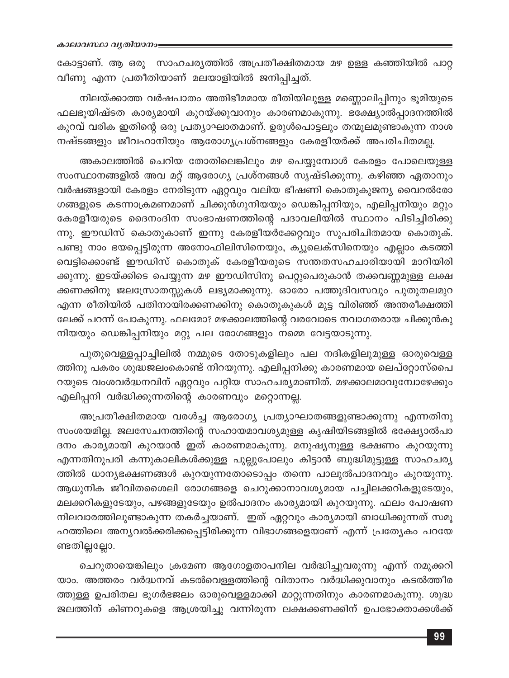കോട്ടാണ്. ആ ഒരു സാഹചര്യത്തിൽ അപ്രതീക്ഷിതമായ മഴ ഉള്ള കഞ്ഞിയിൽ പാറ്റ വീണു എന്ന പ്രതീതിയാണ് മലയാളിയിൽ ജനിപ്പിച്ചത്.

നിലയ്ക്കാത്ത വർഷപാതം അതിഭീമമായ രീതിയിലുള്ള മണ്ണൊലിപ്പിനും ഭൂമിയുടെ ഫലഭൂയിഷ്ടത കാര്യമായി കുറയ്ക്കുവാനും കാരണമാകുന്നു. ഭക്ഷ്യോൽപ്പാദനത്തിൽ കുറവ് വരിക ഇതിന്റെ ഒരു പ്രത്യാഘാതമാണ്. ഉരുൾപൊട്ടലും തന്മൂലമുണ്ടാകുന്ന നാശ നഷ്ടങ്ങളും ജീവഹാനിയും ആരോഗ്യപ്രശ്നങ്ങളും കേരളീയർക്ക് അപരിചിതമല്ല.

അകാലത്തിൽ ചെറിയ തോതിലെങ്കിലും മഴ പെയ്യുമ്പോൾ കേരളം പോലെയുള്ള സംസ്ഥാനങ്ങളിൽ അവ മറ്റ് ആരോഗ്യ പ്രശ്നങ്ങൾ സൃഷ്ടിക്കുന്നു. കഴിഞ്ഞ ഏതാനും വർഷങ്ങളായി കേരളം നേരിടുന്ന ഏറ്റവും വലിയ ഭീഷണി കൊതുകുജന്യ വൈറൽരോ ഗങ്ങളുടെ കടന്നാക്രമണമാണ് ചിക്കുൻഗുനിയയും ഡെങ്കിപ്പനിയും, എലിപ്പനിയും മറ്റും കേരളീയരുടെ ദൈനംദിന സംഭാഷണത്തിന്റെ പദാവലിയിൽ സ്ഥാനം പിടിച്ചിരിക്കു ന്നു. ഈഡിസ് കൊതുകാണ് ഇന്നു കേരളീയർക്കേറ്റവും സുപരിചിതമായ കൊതുക്. പണ്ടു നാം ഭയപ്പെട്ടിരുന്ന അനോഫിലിസിനെയും, ക്യൂലെക്സിനെയും എല്ലാം കടത്തി വെട്ടിക്കൊണ്ട് ഈഡിസ് കൊതുക് കേരളീയരുടെ സന്തതസഹചാരിയായി മാറിയിരി ക്കുന്നു. ഇടയ്ക്കിടെ പെയ്യുന്ന മഴ ഈഡിസിനു പെറ്റുപെരുകാൻ തക്കവണ്ണമുള്ള ലക്ഷ ക്കണക്കിനു ജലസ്രോതസ്സുകൾ ലഭ്യമാക്കുന്നു. ഓരോ പത്തുദിവസവും പുതുതലമുറ എന്ന രീതിയിൽ പതിനായിരക്കണക്കിനു കൊതുകുകൾ മുട്ട വിരിഞ്ഞ് അന്തരീക്ഷത്തി ലേക്ക് പറന്ന് പോകുന്നു. ഫലമോ? മഴക്കാലത്തിന്റെ വരവോടെ നവാഗതരായ ചിക്കുൻകു നിയയും ഡെങ്കിപ്പനിയും മറ്റു പല രോഗങ്ങളും നമ്മെ വേട്ടയാടുന്നു.

പുതുവെള്ളപ്പാച്ചിലിൽ നമ്മുടെ തോടുകളിലും പല നദികളിലുമുള്ള ഓരുവെള്ള ത്തിനു പകരം ശുദ്ധജലംകൊണ്ട് നിറയുന്നു. എലിപ്പനിക്കു കാരണമായ ലെപ്റ്റോസ്പൈ റയുടെ വംശവർദ്ധനവിന് ഏറ്റവും പറ്റിയ സാഹചര്യമാണിത്. മഴക്കാലമാവുമ്പോഴേക്കും എലിപ്പനി വർദ്ധിക്കുന്നതിന്റെ കാരണവും മറ്റൊന്നല്ല.

അപ്രതീക്ഷിതമായ വരൾച്ച ആരോഗ്യ പ്രത്യാഘാതങ്ങളുണ്ടാക്കുന്നു എന്നതിനു സംശയമില്ല. ജലസേചനത്തിന്റെ സഹായമാവശ്യമുള്ള കൃഷിയിടങ്ങളിൽ ഭക്ഷ്യോൽപാ ദനം കാര്യമായി കുറയാൻ ഇത് കാരണമാകുന്നു. മനുഷ്യനുള്ള ഭക്ഷണം കുറയുന്നു എന്നതിനുപരി കന്നുകാലികൾക്കുള്ള പുല്ലുപോലും കിട്ടാൻ ബുദ്ധിമുട്ടുള്ള സാഹചര്യ ത്തിൽ ധാന്യഭക്ഷണങ്ങൾ കുറയുന്നതോടൊപ്പം തന്നെ പാലുൽപാദനവും കുറയുന്നു. ആധുനിക ജീവിതശൈലി രോഗങ്ങളെ ചെറുക്കാനാവശ്യമായ പച്ചിലക്കറികളുടേയും, മലക്കറികളുടേയും, പഴങ്ങളുടേയും ഉൽപാദനം കാര്യമായി കുറയുന്നു. ഫലം പോഷണ നിലവാരത്തിലുണ്ടാകുന്ന തകർച്ചയാണ്. ഇത് ഏറ്റവും കാര്യമായി ബാധിക്കുന്നത് സമൂ ഹത്തിലെ അന്യവൽക്കരിക്കപ്പെട്ടിരിക്കുന്ന വിഭാഗങ്ങളെയാണ് എന്ന് പ്രത്യേകം പറയേ ണ്ടതില്ലല്ലോ.

ചെറുതായെങ്കിലും ക്രമേണ ആഗോളതാപനില വർദ്ധിച്ചുവരുന്നു എന്ന് നമുക്കറി യാം. അത്തരം വർദ്ധനവ് കടൽവെള്ളത്തിന്റെ വിതാനം വർദ്ധിക്കുവാനും കടൽത്തീര ത്തുള്ള ഉപരിതല ഭൂഗർഭജലം ഓരുവെള്ളമാക്കി മാറ്റുന്നതിനും കാരണമാകുന്നു. ശുദ്ധ ജലത്തിന് കിണറുകളെ ആശ്രയിച്ചു വന്നിരുന്ന ലക്ഷക്കണക്കിന് ഉപഭോക്താക്കൾക്ക്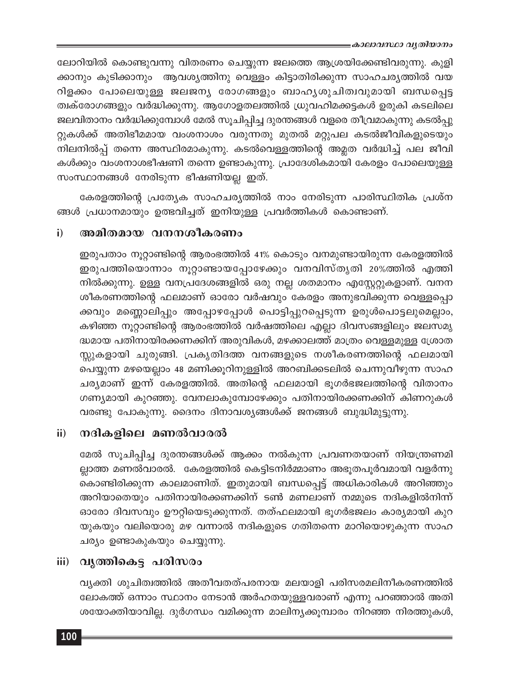ലോറിയിൽ കൊണ്ടുവന്നു വിതരണം ചെയ്യുന്ന ജലത്തെ ആശ്രയിക്കേണ്ടിവരുന്നു. കുളി ക്കാനും കുടിക്കാനും ആവശ്യത്തിനു വെള്ളം കിട്ടാതിരിക്കുന്ന സാഹചര്യത്തിൽ വയ റിളക്കം പോലെയുള്ള ജലജന്യ രോഗങ്ങളും ബാഹ്യശുചിത്വവുമായി ബന്ധപ്പെട്ട ത്വക്രോഗങ്ങളും വർദ്ധിക്കുന്നു. ആഗോളതലത്തിൽ ധ്രുവഹിമക്കട്ടകൾ ഉരുകി കടലിലെ ജലവിതാനം വർദ്ധിക്കുമ്പോൾ മേൽ സൂചിപ്പിച്ച ദുരന്തങ്ങൾ വളരെ തീവ്രമാകുന്നു കടൽപ്പു റ്റുകൾക്ക് അതിഭീമമായ വംശനാശം വരുന്നതു മുതൽ മറ്റുപല കടൽജീവികളുടെയും നിലനിൽപ്പ് തന്നെ അസ്ഥിരമാകുന്നു. കടൽവെള്ളത്തിന്റെ അമ്ലത വർദ്ധിച്ച് പല ജീവി കൾക്കും വംശനാശഭീഷണി തന്നെ ഉണ്ടാകുന്നു. പ്രാദേശികമായി കേരളം പോലെയുള്ള സംസ്ഥാനങ്ങൾ നേരിടുന്ന ഭീഷണിയല്ല ഇത്.

കേരളത്തിന്റെ പ്രത്യേക സാഹചര്യത്തിൽ നാം നേരിടുന്ന പാരിസ്ഥിതിക പ്രശ്ന ങ്ങൾ പ്രധാനമായും ഉത്ഭവിച്ചത് ഇനിയുള്ള പ്രവർത്തികൾ കൊണ്ടാണ്.

#### അമിതമായ വനനശീകരണം  $\mathbf{i}$

ഇരുപതാം നൂറ്റാണ്ടിന്റെ ആരംഭത്തിൽ 41% കൊടും വനമുണ്ടായിരുന്ന കേരളത്തിൽ ഇരുപത്തിയൊന്നാം നൂറ്റാണ്ടായപ്പോഴേക്കും വനവിസ്തൃതി 20%ത്തിൽ എത്തി നിൽക്കുന്നു. ഉള്ള വനപ്രദേശങ്ങളിൽ ഒരു നല്ല ശതമാനം എസ്റ്റേറ്റുകളാണ്. വനന ശീകരണത്തിന്റെ ഫലമാണ് ഓരോ വർഷവും കേരളം അനുഭവിക്കുന്ന വെള്ളപ്പൊ ക്കവും മണ്ണൊലിപ്പും അപ്പോഴപ്പോൾ പൊട്ടിപ്പുറപ്പെടുന്ന ഉരുൾപൊട്ടലുമെല്ലാം, കഴിഞ്ഞ നൂറ്റാണ്ടിന്റെ ആരംഭത്തിൽ വർഷത്തിലെ എല്ലാ ദിവസങ്ങളിലും ജലസമൃ ദ്ധമായ പതിനായിരക്കണക്കിന് അരുവികൾ, മഴക്കാലത്ത് മാത്രം വെള്ളമുള്ള ശ്രോത സ്സുകളായി ചുരുങ്ങി. പ്രകൃതിദത്ത വനങ്ങളുടെ നശീകരണത്തിന്റെ ഫലമായി പെയ്യുന്ന മഴയെല്ലാം 48 മണിക്കൂറിനുള്ളിൽ അറബിക്കടലിൽ ചെന്നുവീഴുന്ന സാഹ ചര്യമാണ് ഇന്ന് കേരളത്തിൽ. അതിന്റെ ഫലമായി ഭൂഗർഭജലത്തിന്റെ വിതാനം ഗണ്യമായി കുറഞ്ഞു. വേനലാകുമ്പോഴേക്കും പതിനായിരക്കണക്കിന് കിണറുകൾ വരണ്ടു പോകുന്നു. ദൈനം ദിനാവശ്യങ്ങൾക്ക് ജനങ്ങൾ ബുദ്ധിമുട്ടുന്നു.

#### നദികളിലെ മണൽവാരൽ  $\mathbf{ii}$

മേൽ സൂചിപ്പിച്ച ദുരന്തങ്ങൾക്ക് ആക്കം നൽകുന്ന പ്രവണതയാണ് നിയന്ത്രണമി ല്ലാത്ത മണൽവാരൽ. കേരളത്തിൽ കെട്ടിടനിർമ്മാണം അഭൂതപൂർവമായി വളർന്നു കൊണ്ടിരിക്കുന്ന കാലമാണിത്. ഇതുമായി ബന്ധപ്പെട്ട് അധികാരികൾ അറിഞ്ഞും അറിയാതെയും പതിനായിരക്കണക്കിന് ടൺ മണലാണ് നമ്മുടെ നദികളിൽനിന്ന് ഓരോ ദിവസവും ഊറ്റിയെടുക്കുന്നത്. തത്ഫലമായി ഭൂഗർഭജലം കാര്യമായി കുറ യുകയും വലിയൊരു മഴ വന്നാൽ നദികളുടെ ഗതിതന്നെ മാറിയൊഴുകുന്ന സാഹ ചര്യം ഉണ്ടാകുകയും ചെയ്യുന്നു.

## iii) വൃത്തികെട്ട പരിസരം

വ്യക്തി ശുചിത്വത്തിൽ അതീവതത്പരനായ മലയാളി പരിസരമലിനീകരണത്തിൽ ലോകത്ത് ഒന്നാം സ്ഥാനം നേടാൻ അർഹതയുള്ളവരാണ് എന്നു പറഞ്ഞാൽ അതി ശയോക്തിയാവില്ല. ദുർഗന്ധം വമിക്കുന്ന മാലിന്യക്കൂമ്പാരം നിറഞ്ഞ നിരത്തുകൾ,